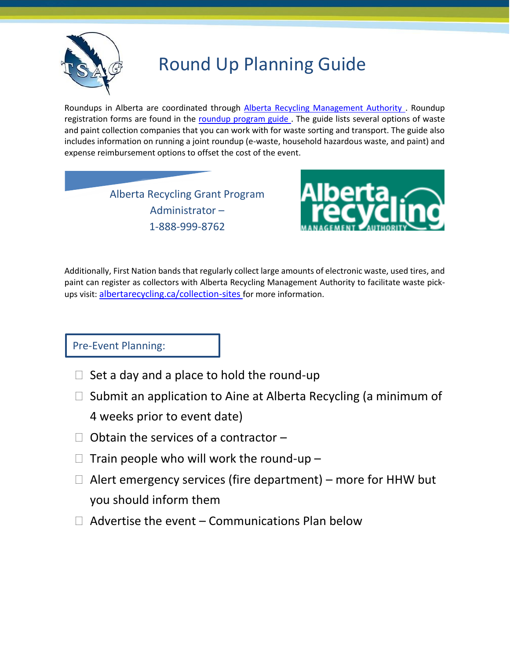

# Round Up Planning Guide

Roundups in Alberta are coordinated through [Alberta Recycling Management Authority .](http://www.albertarecycling.ca/) Roundup registration forms are found in the roundup program guide. The guide lists several options of waste and paint collection companies that you can work with for waste sorting and transport. The guide also includes information on running a joint roundup (e-waste, household hazardous waste, and paint) and expense reimbursement options to offset the cost of the event.

> Alberta Recycling Grant Program Administrator – 1-888-999-8762



Additionally, First Nation bands that regularly collect large amounts of electronic waste, used tires, and paint can register as collectors with Alberta Recycling Management Authority to facilitate waste pickups visit: albertarecycling.ca/collection-sites for more information.

Pre-Event Planning:

- $\Box$  Set a day and a place to hold the round-up
- $\Box$  Submit an application to Aine at Alberta Recycling (a minimum of 4 weeks prior to event date)
- $\Box$  Obtain the services of a contractor  $\Box$
- $\Box$  Train people who will work the round-up -
- $\Box$  Alert emergency services (fire department) more for HHW but you should inform them
- $\Box$  Advertise the event Communications Plan below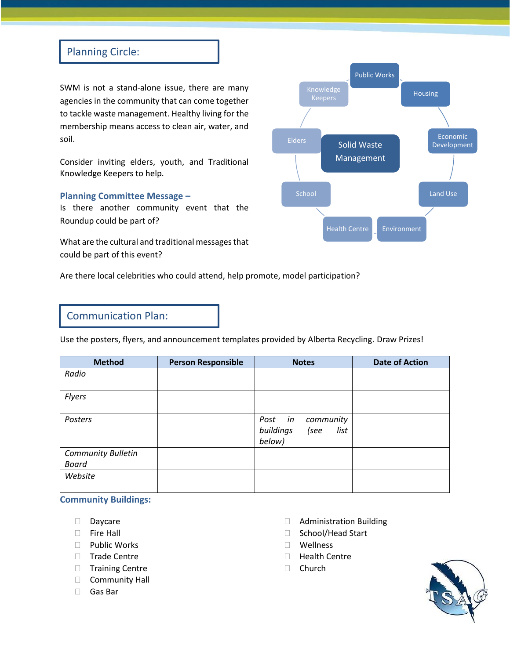# Planning Circle:

SWM is not a stand-alone issue, there are many agencies in the community that can come together to tackle waste management. Healthy living for the membership means access to clean air, water, and soil.

Consider inviting elders, youth, and Traditional Knowledge Keepers to help.

#### **Planning Committee Message –**

Is there another community event that the Roundup could be part of?

What are the cultural and traditional messages that could be part of this event?

Are there local celebrities who could attend, help promote, model participation?

## Communication Plan:

Use the posters, flyers, and announcement templates provided by Alberta Recycling. Draw Prizes! :

| <b>Method</b>                      | <b>Person Responsible</b> | <b>Notes</b>                                                | <b>Date of Action</b> |
|------------------------------------|---------------------------|-------------------------------------------------------------|-----------------------|
| Radio                              |                           |                                                             |                       |
| <b>Flyers</b>                      |                           |                                                             |                       |
| Posters                            |                           | Post in<br>community<br>buildings<br>list<br>(see<br>below) |                       |
| <b>Community Bulletin</b><br>Board |                           |                                                             |                       |
| Website                            |                           |                                                             |                       |

#### **Community Buildings:**

- Daycare
- **Fire Hall**
- D Public Works
- □ Trade Centre
- **Training Centre**
- □ Community Hall
- Gas Bar
- Administration Building
- □ School/Head Start
- Wellness
- □ Health Centre
- □ Church